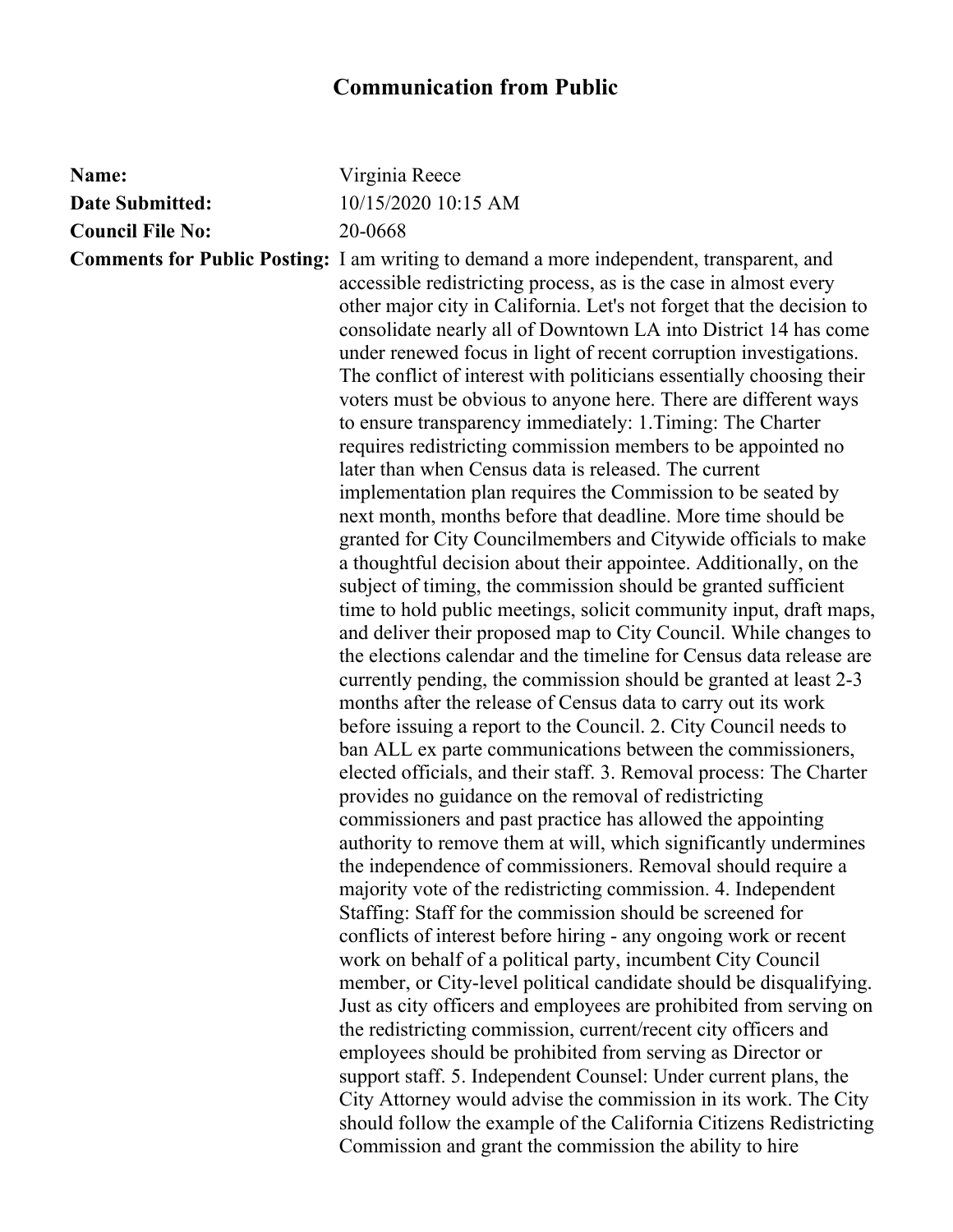## **Communication from Public**

| Name:                   | Virginia Reece                                                                                                                                                                                                                                                                                                                                                                                                                                                                                                                                                                                                                                                                                                                                                                                                                                                                                                                                                                                                                                                                                                                                                                                                                                                                                                                                                                                                                                                                                                                                                                                                                                                                                                                                                                                                                                                                                                                                                                                                                                                                                                                                                                                                                                                                                                                                                       |
|-------------------------|----------------------------------------------------------------------------------------------------------------------------------------------------------------------------------------------------------------------------------------------------------------------------------------------------------------------------------------------------------------------------------------------------------------------------------------------------------------------------------------------------------------------------------------------------------------------------------------------------------------------------------------------------------------------------------------------------------------------------------------------------------------------------------------------------------------------------------------------------------------------------------------------------------------------------------------------------------------------------------------------------------------------------------------------------------------------------------------------------------------------------------------------------------------------------------------------------------------------------------------------------------------------------------------------------------------------------------------------------------------------------------------------------------------------------------------------------------------------------------------------------------------------------------------------------------------------------------------------------------------------------------------------------------------------------------------------------------------------------------------------------------------------------------------------------------------------------------------------------------------------------------------------------------------------------------------------------------------------------------------------------------------------------------------------------------------------------------------------------------------------------------------------------------------------------------------------------------------------------------------------------------------------------------------------------------------------------------------------------------------------|
| <b>Date Submitted:</b>  | 10/15/2020 10:15 AM                                                                                                                                                                                                                                                                                                                                                                                                                                                                                                                                                                                                                                                                                                                                                                                                                                                                                                                                                                                                                                                                                                                                                                                                                                                                                                                                                                                                                                                                                                                                                                                                                                                                                                                                                                                                                                                                                                                                                                                                                                                                                                                                                                                                                                                                                                                                                  |
| <b>Council File No:</b> | 20-0668                                                                                                                                                                                                                                                                                                                                                                                                                                                                                                                                                                                                                                                                                                                                                                                                                                                                                                                                                                                                                                                                                                                                                                                                                                                                                                                                                                                                                                                                                                                                                                                                                                                                                                                                                                                                                                                                                                                                                                                                                                                                                                                                                                                                                                                                                                                                                              |
|                         | <b>Comments for Public Posting:</b> I am writing to demand a more independent, transparent, and<br>accessible redistricting process, as is the case in almost every<br>other major city in California. Let's not forget that the decision to<br>consolidate nearly all of Downtown LA into District 14 has come<br>under renewed focus in light of recent corruption investigations.<br>The conflict of interest with politicians essentially choosing their<br>voters must be obvious to anyone here. There are different ways<br>to ensure transparency immediately: 1. Timing: The Charter<br>requires redistricting commission members to be appointed no<br>later than when Census data is released. The current<br>implementation plan requires the Commission to be seated by<br>next month, months before that deadline. More time should be<br>granted for City Councilmembers and Citywide officials to make<br>a thoughtful decision about their appointee. Additionally, on the<br>subject of timing, the commission should be granted sufficient<br>time to hold public meetings, solicit community input, draft maps,<br>and deliver their proposed map to City Council. While changes to<br>the elections calendar and the timeline for Census data release are<br>currently pending, the commission should be granted at least 2-3<br>months after the release of Census data to carry out its work<br>before issuing a report to the Council. 2. City Council needs to<br>ban ALL ex parte communications between the commissioners,<br>elected officials, and their staff. 3. Removal process: The Charter<br>provides no guidance on the removal of redistricting<br>commissioners and past practice has allowed the appointing<br>authority to remove them at will, which significantly undermines<br>the independence of commissioners. Removal should require a<br>majority vote of the redistricting commission. 4. Independent<br>Staffing: Staff for the commission should be screened for<br>conflicts of interest before hiring - any ongoing work or recent<br>work on behalf of a political party, incumbent City Council<br>member, or City-level political candidate should be disqualifying.<br>Just as city officers and employees are prohibited from serving on<br>the redistricting commission, current/recent city officers and |
|                         | employees should be prohibited from serving as Director or                                                                                                                                                                                                                                                                                                                                                                                                                                                                                                                                                                                                                                                                                                                                                                                                                                                                                                                                                                                                                                                                                                                                                                                                                                                                                                                                                                                                                                                                                                                                                                                                                                                                                                                                                                                                                                                                                                                                                                                                                                                                                                                                                                                                                                                                                                           |
|                         | support staff. 5. Independent Counsel: Under current plans, the<br>City Attorney would advise the commission in its work. The City<br>should follow the example of the California Citizens Redistricting                                                                                                                                                                                                                                                                                                                                                                                                                                                                                                                                                                                                                                                                                                                                                                                                                                                                                                                                                                                                                                                                                                                                                                                                                                                                                                                                                                                                                                                                                                                                                                                                                                                                                                                                                                                                                                                                                                                                                                                                                                                                                                                                                             |
|                         | Commission and grant the commission the ability to hire                                                                                                                                                                                                                                                                                                                                                                                                                                                                                                                                                                                                                                                                                                                                                                                                                                                                                                                                                                                                                                                                                                                                                                                                                                                                                                                                                                                                                                                                                                                                                                                                                                                                                                                                                                                                                                                                                                                                                                                                                                                                                                                                                                                                                                                                                                              |